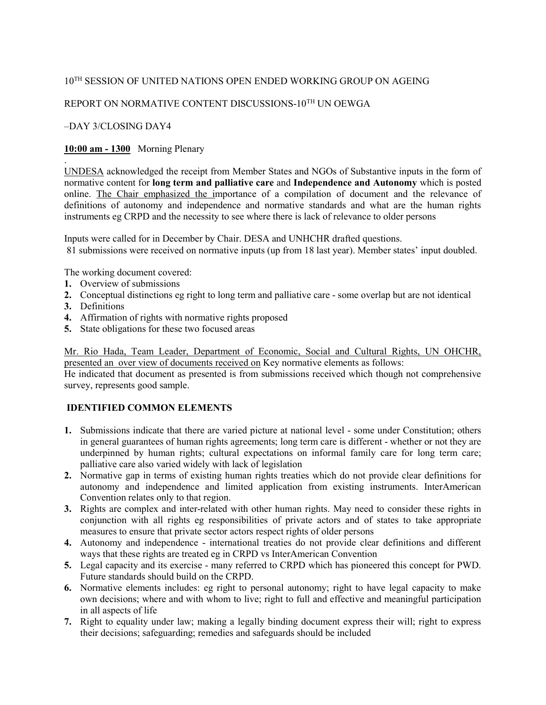## $10^\mathrm{TH}$  SESSION OF UNITED NATIONS OPEN ENDED WORKING GROUP ON AGEING

# REPORT ON NORMATIVE CONTENT DISCUSSIONS-10TH UN OEWGA

#### –DAY 3/CLOSING DAY4

### 10:00 am - 1300 Morning Plenary

UNDESA acknowledged the receipt from Member States and NGOs of Substantive inputs in the form of normative content for long term and palliative care and Independence and Autonomy which is posted online. The Chair emphasized the importance of a compilation of document and the relevance of definitions of autonomy and independence and normative standards and what are the human rights instruments eg CRPD and the necessity to see where there is lack of relevance to older persons

Inputs were called for in December by Chair. DESA and UNHCHR drafted questions. 81 submissions were received on normative inputs (up from 18 last year). Member states' input doubled.

The working document covered:

- 1. Overview of submissions
- 2. Conceptual distinctions eg right to long term and palliative care some overlap but are not identical
- 3. Definitions

.

- 4. Affirmation of rights with normative rights proposed
- 5. State obligations for these two focused areas

Mr. Rio Hada, Team Leader, Department of Economic, Social and Cultural Rights, UN OHCHR, presented an over view of documents received on Key normative elements as follows:

He indicated that document as presented is from submissions received which though not comprehensive survey, represents good sample.

## IDENTIFIED COMMON ELEMENTS

- 1. Submissions indicate that there are varied picture at national level some under Constitution; others in general guarantees of human rights agreements; long term care is different - whether or not they are underpinned by human rights; cultural expectations on informal family care for long term care; palliative care also varied widely with lack of legislation
- 2. Normative gap in terms of existing human rights treaties which do not provide clear definitions for autonomy and independence and limited application from existing instruments. InterAmerican Convention relates only to that region.
- 3. Rights are complex and inter-related with other human rights. May need to consider these rights in conjunction with all rights eg responsibilities of private actors and of states to take appropriate measures to ensure that private sector actors respect rights of older persons
- 4. Autonomy and independence international treaties do not provide clear definitions and different ways that these rights are treated eg in CRPD vs InterAmerican Convention
- 5. Legal capacity and its exercise many referred to CRPD which has pioneered this concept for PWD. Future standards should build on the CRPD.
- 6. Normative elements includes: eg right to personal autonomy; right to have legal capacity to make own decisions; where and with whom to live; right to full and effective and meaningful participation in all aspects of life
- 7. Right to equality under law; making a legally binding document express their will; right to express their decisions; safeguarding; remedies and safeguards should be included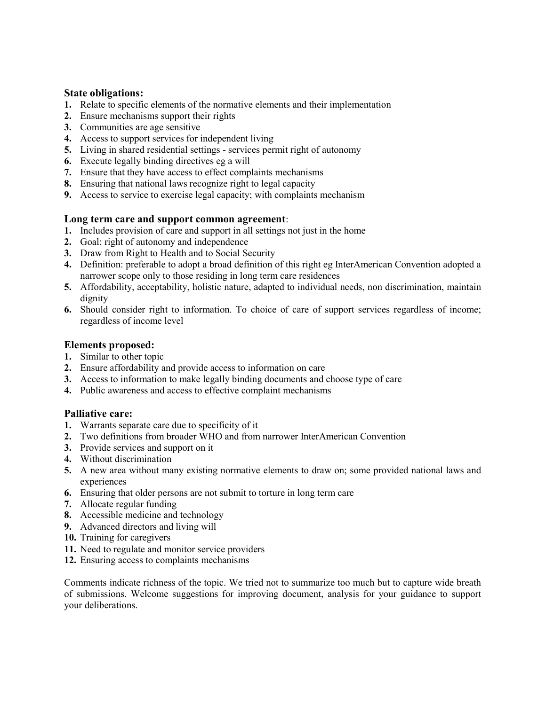## State obligations:

- 1. Relate to specific elements of the normative elements and their implementation
- 2. Ensure mechanisms support their rights
- 3. Communities are age sensitive
- 4. Access to support services for independent living
- 5. Living in shared residential settings services permit right of autonomy
- 6. Execute legally binding directives eg a will
- 7. Ensure that they have access to effect complaints mechanisms
- 8. Ensuring that national laws recognize right to legal capacity
- 9. Access to service to exercise legal capacity; with complaints mechanism

### Long term care and support common agreement:

- 1. Includes provision of care and support in all settings not just in the home
- 2. Goal: right of autonomy and independence
- 3. Draw from Right to Health and to Social Security
- 4. Definition: preferable to adopt a broad definition of this right eg InterAmerican Convention adopted a narrower scope only to those residing in long term care residences
- 5. Affordability, acceptability, holistic nature, adapted to individual needs, non discrimination, maintain dignity
- 6. Should consider right to information. To choice of care of support services regardless of income; regardless of income level

### Elements proposed:

- 1. Similar to other topic
- 2. Ensure affordability and provide access to information on care
- 3. Access to information to make legally binding documents and choose type of care
- 4. Public awareness and access to effective complaint mechanisms

## Palliative care:

- 1. Warrants separate care due to specificity of it
- 2. Two definitions from broader WHO and from narrower InterAmerican Convention
- 3. Provide services and support on it
- 4. Without discrimination
- 5. A new area without many existing normative elements to draw on; some provided national laws and experiences
- 6. Ensuring that older persons are not submit to torture in long term care
- 7. Allocate regular funding
- 8. Accessible medicine and technology
- 9. Advanced directors and living will
- 10. Training for caregivers
- 11. Need to regulate and monitor service providers
- 12. Ensuring access to complaints mechanisms

Comments indicate richness of the topic. We tried not to summarize too much but to capture wide breath of submissions. Welcome suggestions for improving document, analysis for your guidance to support your deliberations.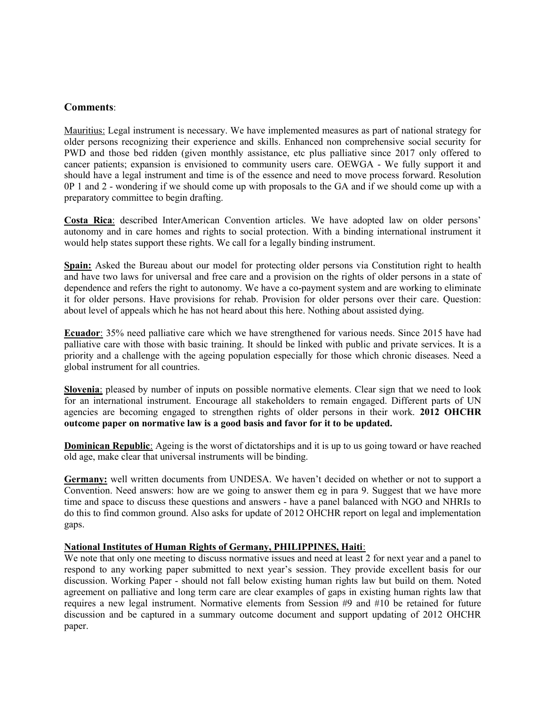### Comments:

Mauritius: Legal instrument is necessary. We have implemented measures as part of national strategy for older persons recognizing their experience and skills. Enhanced non comprehensive social security for PWD and those bed ridden (given monthly assistance, etc plus palliative since 2017 only offered to cancer patients; expansion is envisioned to community users care. OEWGA - We fully support it and should have a legal instrument and time is of the essence and need to move process forward. Resolution 0P 1 and 2 - wondering if we should come up with proposals to the GA and if we should come up with a preparatory committee to begin drafting.

Costa Rica: described InterAmerican Convention articles. We have adopted law on older persons' autonomy and in care homes and rights to social protection. With a binding international instrument it would help states support these rights. We call for a legally binding instrument.

Spain: Asked the Bureau about our model for protecting older persons via Constitution right to health and have two laws for universal and free care and a provision on the rights of older persons in a state of dependence and refers the right to autonomy. We have a co-payment system and are working to eliminate it for older persons. Have provisions for rehab. Provision for older persons over their care. Question: about level of appeals which he has not heard about this here. Nothing about assisted dying.

Ecuador: 35% need palliative care which we have strengthened for various needs. Since 2015 have had palliative care with those with basic training. It should be linked with public and private services. It is a priority and a challenge with the ageing population especially for those which chronic diseases. Need a global instrument for all countries.

Slovenia: pleased by number of inputs on possible normative elements. Clear sign that we need to look for an international instrument. Encourage all stakeholders to remain engaged. Different parts of UN agencies are becoming engaged to strengthen rights of older persons in their work. 2012 OHCHR outcome paper on normative law is a good basis and favor for it to be updated.

Dominican Republic: Ageing is the worst of dictatorships and it is up to us going toward or have reached old age, make clear that universal instruments will be binding.

Germany: well written documents from UNDESA. We haven't decided on whether or not to support a Convention. Need answers: how are we going to answer them eg in para 9. Suggest that we have more time and space to discuss these questions and answers - have a panel balanced with NGO and NHRIs to do this to find common ground. Also asks for update of 2012 OHCHR report on legal and implementation gaps.

### National Institutes of Human Rights of Germany, PHILIPPINES, Haiti:

We note that only one meeting to discuss normative issues and need at least 2 for next year and a panel to respond to any working paper submitted to next year's session. They provide excellent basis for our discussion. Working Paper - should not fall below existing human rights law but build on them. Noted agreement on palliative and long term care are clear examples of gaps in existing human rights law that requires a new legal instrument. Normative elements from Session #9 and #10 be retained for future discussion and be captured in a summary outcome document and support updating of 2012 OHCHR paper.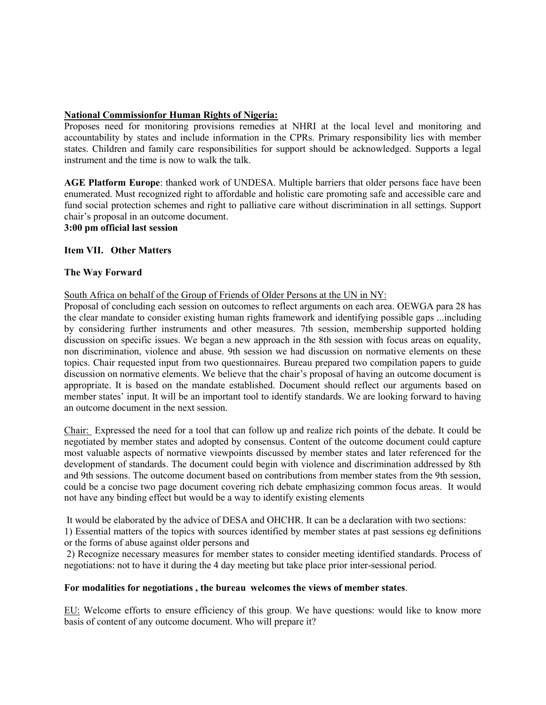## National Commissionfor Human Rights of Nigeria:

Proposes need for monitoring provisions remedies at NHRI at the local level and monitoring and accountability by states and include information in the CPRs. Primary responsibility lies with member states. Children and family care responsibilities for support should be acknowledged. Supports a legal instrument and the time is now to walk the talk.

AGE Platform Europe: thanked work of UNDESA. Multiple barriers that older persons face have been enumerated. Must recognized right to affordable and holistic care promoting safe and accessible care and fund social protection schemes and right to palliative care without discrimination in all settings. Support chair's proposal in an outcome document.

3:00 pm official last session

### Item VII. Other Matters

#### The Way Forward

#### South Africa on behalf of the Group of Friends of Older Persons at the UN in NY:

Proposal of concluding each session on outcomes to reflect arguments on each area. OEWGA para 28 has the clear mandate to consider existing human rights framework and identifying possible gaps ...including by considering further instruments and other measures. 7th session, membership supported holding discussion on specific issues. We began a new approach in the 8th session with focus areas on equality, non discrimination, violence and abuse. 9th session we had discussion on normative elements on these topics. Chair requested input from two questionnaires. Bureau prepared two compilation papers to guide discussion on normative elements. We believe that the chair's proposal of having an outcome document is appropriate. It is based on the mandate established. Document should reflect our arguments based on member states' input. It will be an important tool to identify standards. We are looking forward to having an outcome document in the next session.

Chair: Expressed the need for a tool that can follow up and realize rich points of the debate. It could be negotiated by member states and adopted by consensus. Content of the outcome document could capture most valuable aspects of normative viewpoints discussed by member states and later referenced for the development of standards. The document could begin with violence and discrimination addressed by 8th and 9th sessions. The outcome document based on contributions from member states from the 9th session, could be a concise two page document covering rich debate emphasizing common focus areas. It would not have any binding effect but would be a way to identify existing elements

It would be elaborated by the advice of DESA and OHCHR. It can be a declaration with two sections:

1) Essential matters of the topics with sources identified by member states at past sessions eg definitions or the forms of abuse against older persons and

 2) Recognize necessary measures for member states to consider meeting identified standards. Process of negotiations: not to have it during the 4 day meeting but take place prior inter-sessional period.

#### For modalities for negotiations , the bureau welcomes the views of member states.

EU: Welcome efforts to ensure efficiency of this group. We have questions: would like to know more basis of content of any outcome document. Who will prepare it?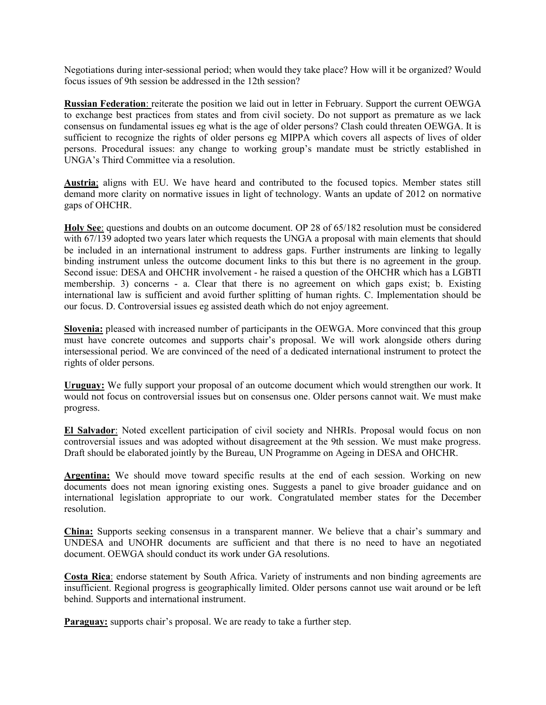Negotiations during inter-sessional period; when would they take place? How will it be organized? Would focus issues of 9th session be addressed in the 12th session?

Russian Federation: reiterate the position we laid out in letter in February. Support the current OEWGA to exchange best practices from states and from civil society. Do not support as premature as we lack consensus on fundamental issues eg what is the age of older persons? Clash could threaten OEWGA. It is sufficient to recognize the rights of older persons eg MIPPA which covers all aspects of lives of older persons. Procedural issues: any change to working group's mandate must be strictly established in UNGA's Third Committee via a resolution.

Austria; aligns with EU. We have heard and contributed to the focused topics. Member states still demand more clarity on normative issues in light of technology. Wants an update of 2012 on normative gaps of OHCHR.

Holy See: questions and doubts on an outcome document. OP 28 of 65/182 resolution must be considered with 67/139 adopted two years later which requests the UNGA a proposal with main elements that should be included in an international instrument to address gaps. Further instruments are linking to legally binding instrument unless the outcome document links to this but there is no agreement in the group. Second issue: DESA and OHCHR involvement - he raised a question of the OHCHR which has a LGBTI membership. 3) concerns - a. Clear that there is no agreement on which gaps exist; b. Existing international law is sufficient and avoid further splitting of human rights. C. Implementation should be our focus. D. Controversial issues eg assisted death which do not enjoy agreement.

Slovenia: pleased with increased number of participants in the OEWGA. More convinced that this group must have concrete outcomes and supports chair's proposal. We will work alongside others during intersessional period. We are convinced of the need of a dedicated international instrument to protect the rights of older persons.

Uruguay: We fully support your proposal of an outcome document which would strengthen our work. It would not focus on controversial issues but on consensus one. Older persons cannot wait. We must make progress.

El Salvador: Noted excellent participation of civil society and NHRIs. Proposal would focus on non controversial issues and was adopted without disagreement at the 9th session. We must make progress. Draft should be elaborated jointly by the Bureau, UN Programme on Ageing in DESA and OHCHR.

Argentina: We should move toward specific results at the end of each session. Working on new documents does not mean ignoring existing ones. Suggests a panel to give broader guidance and on international legislation appropriate to our work. Congratulated member states for the December resolution.

China: Supports seeking consensus in a transparent manner. We believe that a chair's summary and UNDESA and UNOHR documents are sufficient and that there is no need to have an negotiated document. OEWGA should conduct its work under GA resolutions.

Costa Rica: endorse statement by South Africa. Variety of instruments and non binding agreements are insufficient. Regional progress is geographically limited. Older persons cannot use wait around or be left behind. Supports and international instrument.

Paraguay: supports chair's proposal. We are ready to take a further step.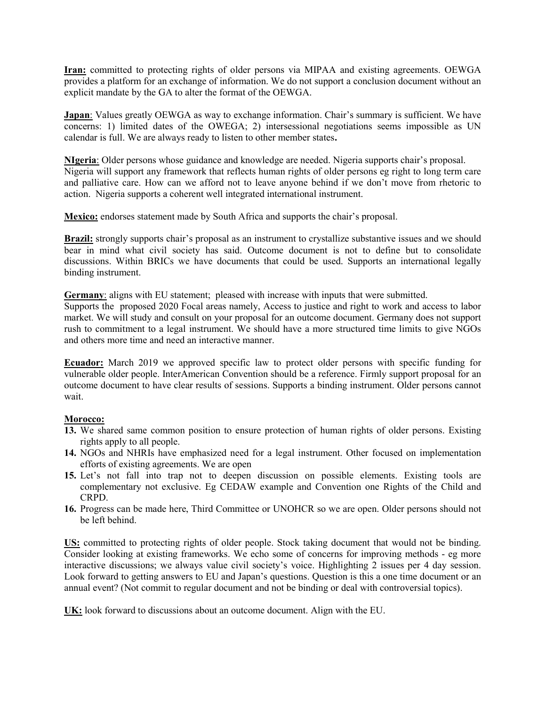Iran: committed to protecting rights of older persons via MIPAA and existing agreements. OEWGA provides a platform for an exchange of information. We do not support a conclusion document without an explicit mandate by the GA to alter the format of the OEWGA.

**Japan**: Values greatly OEWGA as way to exchange information. Chair's summary is sufficient. We have concerns: 1) limited dates of the OWEGA; 2) intersessional negotiations seems impossible as UN calendar is full. We are always ready to listen to other member states.

NIgeria: Older persons whose guidance and knowledge are needed. Nigeria supports chair's proposal. Nigeria will support any framework that reflects human rights of older persons eg right to long term care and palliative care. How can we afford not to leave anyone behind if we don't move from rhetoric to action. Nigeria supports a coherent well integrated international instrument.

Mexico: endorses statement made by South Africa and supports the chair's proposal.

Brazil: strongly supports chair's proposal as an instrument to crystallize substantive issues and we should bear in mind what civil society has said. Outcome document is not to define but to consolidate discussions. Within BRICs we have documents that could be used. Supports an international legally binding instrument.

Germany: aligns with EU statement; pleased with increase with inputs that were submitted.

Supports the proposed 2020 Focal areas namely, Access to justice and right to work and access to labor market. We will study and consult on your proposal for an outcome document. Germany does not support rush to commitment to a legal instrument. We should have a more structured time limits to give NGOs and others more time and need an interactive manner.

**Ecuador:** March 2019 we approved specific law to protect older persons with specific funding for vulnerable older people. InterAmerican Convention should be a reference. Firmly support proposal for an outcome document to have clear results of sessions. Supports a binding instrument. Older persons cannot wait.

### Morocco:

- 13. We shared same common position to ensure protection of human rights of older persons. Existing rights apply to all people.
- 14. NGOs and NHRIs have emphasized need for a legal instrument. Other focused on implementation efforts of existing agreements. We are open
- 15. Let's not fall into trap not to deepen discussion on possible elements. Existing tools are complementary not exclusive. Eg CEDAW example and Convention one Rights of the Child and CRPD.
- 16. Progress can be made here, Third Committee or UNOHCR so we are open. Older persons should not be left behind.

US: committed to protecting rights of older people. Stock taking document that would not be binding. Consider looking at existing frameworks. We echo some of concerns for improving methods - eg more interactive discussions; we always value civil society's voice. Highlighting 2 issues per 4 day session. Look forward to getting answers to EU and Japan's questions. Question is this a one time document or an annual event? (Not commit to regular document and not be binding or deal with controversial topics).

UK: look forward to discussions about an outcome document. Align with the EU.